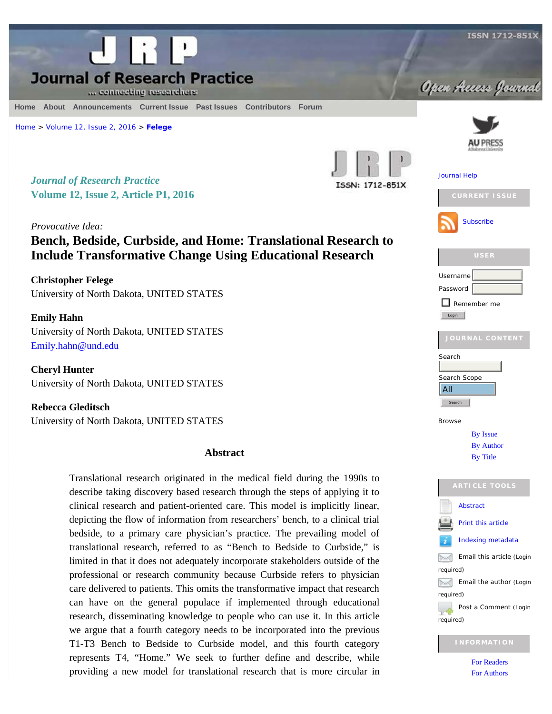

<span id="page-0-0"></span>

#### **[Home](http://jrp.icaap.org/index.php/jrp/index) [About](http://jrp.icaap.org/index.php/jrp/about) [Announcements](http://jrp.icaap.org/index.php/jrp/announcement) [Current](http://jrp.icaap.org/index.php/jrp/issue/current) Issue Past [Issues](http://jrp.icaap.org/index.php/jrp/issue/archive) [Contributors](http://jrp.icaap.org/index.php/jrp/pages/view/contributors) [Forum](http://groups.yahoo.com/group/Research_Practice/)**

[Home](http://jrp.icaap.org/index.php/jrp/index) > [Volume 12, Issue 2, 2016](http://jrp.icaap.org/index.php/jrp/issue/view/26) > **[Felege](#page-0-0)**

*Journal of Research Practice* **Volume 12, Issue 2, Article P1, 2016** ISSN: 1712-851X

*Provocative Idea:* **Bench, Bedside, Curbside, and Home: Translational Research to Include Transformative Change Using Educational Research**

**Christopher Felege** University of North Dakota, UNITED STATES

**Emily Hahn** University of North Dakota, UNITED STATES [Emily.hahn@und.edu](mailto:Emily.hahn@und.edu)

**Cheryl Hunter** University of North Dakota, UNITED STATES

**Rebecca Gleditsch** University of North Dakota, UNITED STATES

### **Abstract**

Translational research originated in the medical field during the 1990s to describe taking discovery based research through the steps of applying it to clinical research and patient-oriented care. This model is implicitly linear, depicting the flow of information from researchers' bench, to a clinical trial bedside, to a primary care physician's practice. The prevailing model of translational research, referred to as "Bench to Bedside to Curbside," is limited in that it does not adequately incorporate stakeholders outside of the professional or research community because Curbside refers to physician care delivered to patients. This omits the transformative impact that research can have on the general populace if implemented through educational research, disseminating knowledge to people who can use it. In this article we argue that a fourth category needs to be incorporated into the previous T1-T3 Bench to Bedside to Curbside model, and this fourth category represents T4, "Home." We seek to further define and describe, while providing a new model for translational research that is more circular in



required)

[For Readers](http://jrp.icaap.org/index.php/jrp/information/readers) [For Authors](http://jrp.icaap.org/index.php/jrp/information/authors)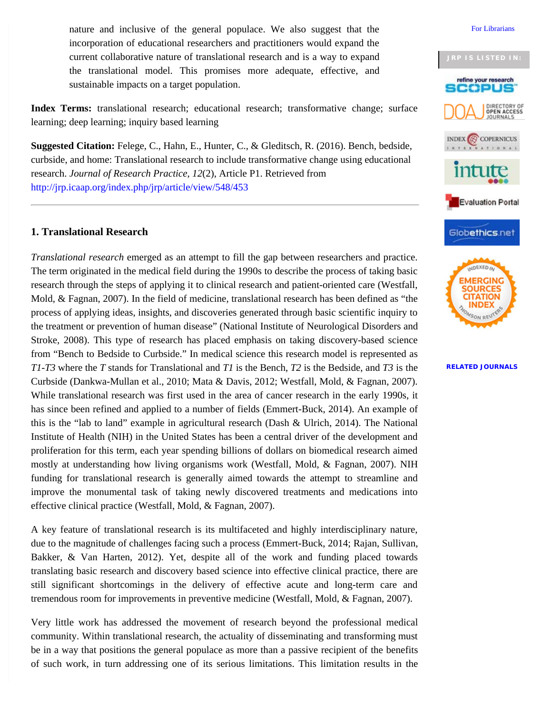nature and inclusive of the general populace. We also suggest that the incorporation of educational researchers and practitioners would expand the current collaborative nature of translational research and is a way to expand the translational model. This promises more adequate, effective, and sustainable impacts on a target population.

**Index Terms:** translational research; educational research; transformative change; surface learning; deep learning; inquiry based learning

**Suggested Citation:** Felege, C., Hahn, E., Hunter, C., & Gleditsch, R. (2016). Bench, bedside, curbside, and home: Translational research to include transformative change using educational research. *Journal of Research Practice*, *12*(2), Article P1. Retrieved from [http://jrp.icaap.org/index.php/jrp/article/view/548/453](#page-0-0)

## **1. Translational Research**

*Translational research* emerged as an attempt to fill the gap between researchers and practice. The term originated in the medical field during the 1990s to describe the process of taking basic research through the steps of applying it to clinical research and patient-oriented care (Westfall, Mold, & Fagnan, 2007). In the field of medicine, translational research has been defined as "the process of applying ideas, insights, and discoveries generated through basic scientific inquiry to the treatment or prevention of human disease" (National Institute of Neurological Disorders and Stroke, 2008). This type of research has placed emphasis on taking discovery-based science from "Bench to Bedside to Curbside." In medical science this research model is represented as *T1-T3* where the *T* stands for Translational and *T1* is the Bench, *T2* is the Bedside, and *T3* is the Curbside (Dankwa-Mullan et al., 2010; Mata & Davis, 2012; Westfall, Mold, & Fagnan, 2007). While translational research was first used in the area of cancer research in the early 1990s, it has since been refined and applied to a number of fields (Emmert-Buck, 2014). An example of this is the "lab to land" example in agricultural research (Dash & Ulrich, 2014). The National Institute of Health (NIH) in the United States has been a central driver of the development and proliferation for this term, each year spending billions of dollars on biomedical research aimed mostly at understanding how living organisms work (Westfall, Mold, & Fagnan, 2007). NIH funding for translational research is generally aimed towards the attempt to streamline and improve the monumental task of taking newly discovered treatments and medications into effective clinical practice (Westfall, Mold, & Fagnan, 2007).

A key feature of translational research is its multifaceted and highly interdisciplinary nature, due to the magnitude of challenges facing such a process (Emmert-Buck, 2014; Rajan, Sullivan, Bakker, & Van Harten, 2012). Yet, despite all of the work and funding placed towards translating basic research and discovery based science into effective clinical practice, there are still significant shortcomings in the delivery of effective acute and long-term care and tremendous room for improvements in preventive medicine (Westfall, Mold, & Fagnan, 2007).

Very little work has addressed the movement of research beyond the professional medical community. Within translational research, the actuality of disseminating and transforming must be in a way that positions the general populace as more than a passive recipient of the benefits of such work, in turn addressing one of its serious limitations. This limitation results in the





#### **[RELATED JOURNALS](http://jrp.icaap.org/index.php/jrp/pages/view/related_journals)**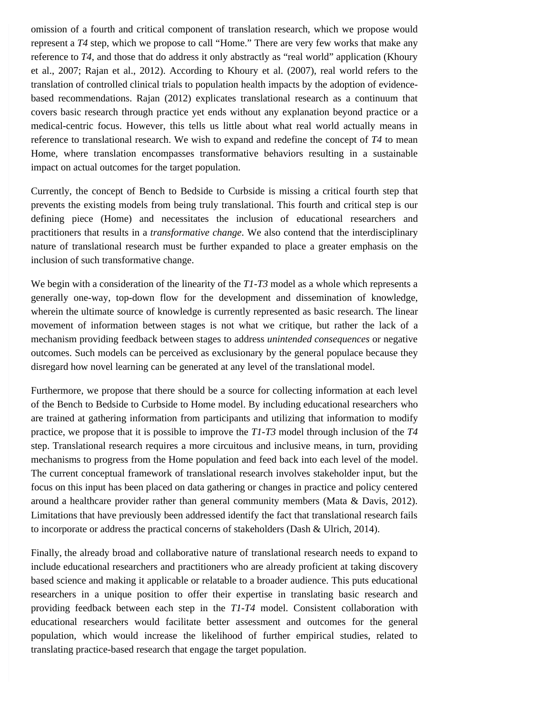omission of a fourth and critical component of translation research, which we propose would represent a *T4* step, which we propose to call "Home." There are very few works that make any reference to *T4*, and those that do address it only abstractly as "real world" application (Khoury et al., 2007; Rajan et al., 2012). According to Khoury et al. (2007), real world refers to the translation of controlled clinical trials to population health impacts by the adoption of evidencebased recommendations. Rajan (2012) explicates translational research as a continuum that covers basic research through practice yet ends without any explanation beyond practice or a medical-centric focus. However, this tells us little about what real world actually means in reference to translational research. We wish to expand and redefine the concept of *T4* to mean Home, where translation encompasses transformative behaviors resulting in a sustainable impact on actual outcomes for the target population.

Currently, the concept of Bench to Bedside to Curbside is missing a critical fourth step that prevents the existing models from being truly translational. This fourth and critical step is our defining piece (Home) and necessitates the inclusion of educational researchers and practitioners that results in a *transformative change*. We also contend that the interdisciplinary nature of translational research must be further expanded to place a greater emphasis on the inclusion of such transformative change.

We begin with a consideration of the linearity of the *T1-T3* model as a whole which represents a generally one-way, top-down flow for the development and dissemination of knowledge, wherein the ultimate source of knowledge is currently represented as basic research. The linear movement of information between stages is not what we critique, but rather the lack of a mechanism providing feedback between stages to address *unintended consequences* or negative outcomes. Such models can be perceived as exclusionary by the general populace because they disregard how novel learning can be generated at any level of the translational model.

Furthermore, we propose that there should be a source for collecting information at each level of the Bench to Bedside to Curbside to Home model. By including educational researchers who are trained at gathering information from participants and utilizing that information to modify practice, we propose that it is possible to improve the *T1-T3* model through inclusion of the *T4* step. Translational research requires a more circuitous and inclusive means, in turn, providing mechanisms to progress from the Home population and feed back into each level of the model. The current conceptual framework of translational research involves stakeholder input, but the focus on this input has been placed on data gathering or changes in practice and policy centered around a healthcare provider rather than general community members (Mata & Davis, 2012). Limitations that have previously been addressed identify the fact that translational research fails to incorporate or address the practical concerns of stakeholders (Dash & Ulrich, 2014).

Finally, the already broad and collaborative nature of translational research needs to expand to include educational researchers and practitioners who are already proficient at taking discovery based science and making it applicable or relatable to a broader audience. This puts educational researchers in a unique position to offer their expertise in translating basic research and providing feedback between each step in the *T1-T4* model. Consistent collaboration with educational researchers would facilitate better assessment and outcomes for the general population, which would increase the likelihood of further empirical studies, related to translating practice-based research that engage the target population.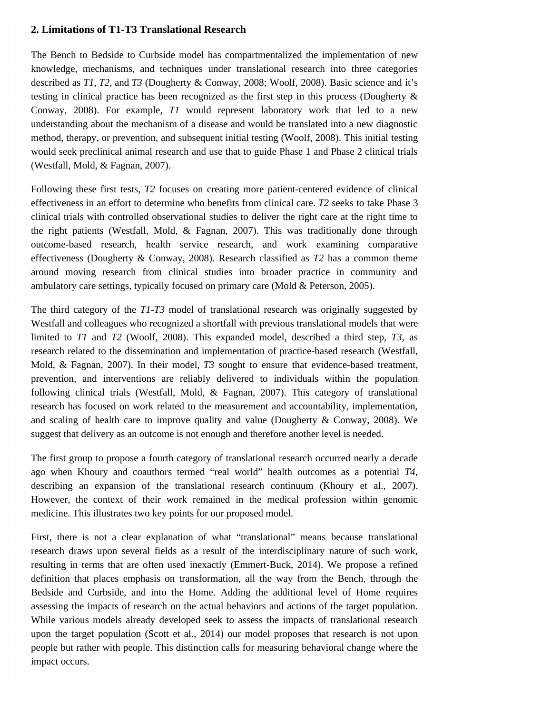# **2. Limitations of T1-T3 Translational Research**

The Bench to Bedside to Curbside model has compartmentalized the implementation of new knowledge, mechanisms, and techniques under translational research into three categories described as *T1*, *T2*, and *T3* (Dougherty & Conway, 2008; Woolf, 2008). Basic science and it's testing in clinical practice has been recognized as the first step in this process (Dougherty & Conway, 2008). For example, *T1* would represent laboratory work that led to a new understanding about the mechanism of a disease and would be translated into a new diagnostic method, therapy, or prevention, and subsequent initial testing (Woolf, 2008). This initial testing would seek preclinical animal research and use that to guide Phase 1 and Phase 2 clinical trials (Westfall, Mold, & Fagnan, 2007).

Following these first tests, *T2* focuses on creating more patient-centered evidence of clinical effectiveness in an effort to determine who benefits from clinical care. *T2* seeks to take Phase 3 clinical trials with controlled observational studies to deliver the right care at the right time to the right patients (Westfall, Mold, & Fagnan, 2007). This was traditionally done through outcome-based research, health service research, and work examining comparative effectiveness (Dougherty & Conway, 2008). Research classified as *T2* has a common theme around moving research from clinical studies into broader practice in community and ambulatory care settings, typically focused on primary care (Mold & Peterson, 2005).

The third category of the *T1-T3* model of translational research was originally suggested by Westfall and colleagues who recognized a shortfall with previous translational models that were limited to *T1* and *T2* (Woolf, 2008). This expanded model, described a third step, *T3*, as research related to the dissemination and implementation of practice-based research (Westfall, Mold, & Fagnan, 2007). In their model, *T3* sought to ensure that evidence-based treatment, prevention, and interventions are reliably delivered to individuals within the population following clinical trials (Westfall, Mold, & Fagnan, 2007). This category of translational research has focused on work related to the measurement and accountability, implementation, and scaling of health care to improve quality and value (Dougherty & Conway, 2008). We suggest that delivery as an outcome is not enough and therefore another level is needed.

The first group to propose a fourth category of translational research occurred nearly a decade ago when Khoury and coauthors termed "real world" health outcomes as a potential *T4*, describing an expansion of the translational research continuum (Khoury et al., 2007). However, the context of their work remained in the medical profession within genomic medicine. This illustrates two key points for our proposed model.

First, there is not a clear explanation of what "translational" means because translational research draws upon several fields as a result of the interdisciplinary nature of such work, resulting in terms that are often used inexactly (Emmert-Buck, 2014). We propose a refined definition that places emphasis on transformation, all the way from the Bench, through the Bedside and Curbside, and into the Home. Adding the additional level of Home requires assessing the impacts of research on the actual behaviors and actions of the target population. While various models already developed seek to assess the impacts of translational research upon the target population (Scott et al., 2014) our model proposes that research is not upon people but rather with people. This distinction calls for measuring behavioral change where the impact occurs.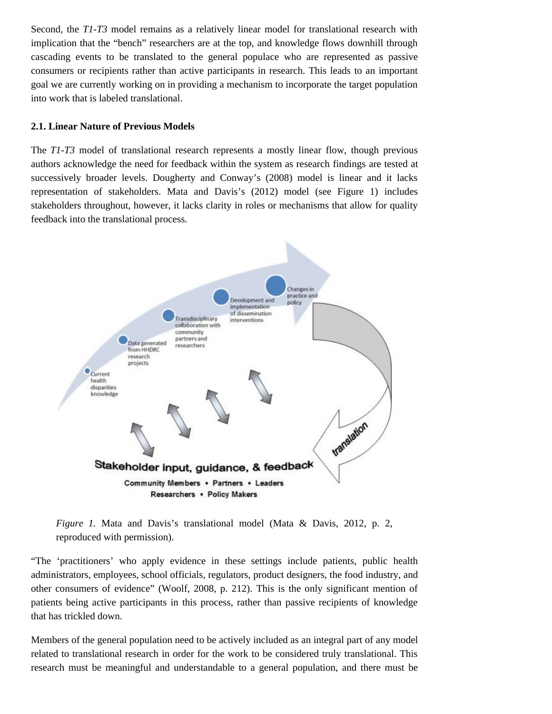Second, the *T1-T3* model remains as a relatively linear model for translational research with implication that the "bench" researchers are at the top, and knowledge flows downhill through cascading events to be translated to the general populace who are represented as passive consumers or recipients rather than active participants in research. This leads to an important goal we are currently working on in providing a mechanism to incorporate the target population into work that is labeled translational.

### **2.1. Linear Nature of Previous Models**

The *T1-T3* model of translational research represents a mostly linear flow, though previous authors acknowledge the need for feedback within the system as research findings are tested at successively broader levels. Dougherty and Conway's (2008) model is linear and it lacks representation of stakeholders. Mata and Davis's (2012) model (see Figure 1) includes stakeholders throughout, however, it lacks clarity in roles or mechanisms that allow for quality feedback into the translational process.



*Figure 1.* Mata and Davis's translational model (Mata & Davis, 2012, p. 2, reproduced with permission).

"The 'practitioners' who apply evidence in these settings include patients, public health administrators, employees, school officials, regulators, product designers, the food industry, and other consumers of evidence" (Woolf, 2008, p. 212). This is the only significant mention of patients being active participants in this process, rather than passive recipients of knowledge that has trickled down.

Members of the general population need to be actively included as an integral part of any model related to translational research in order for the work to be considered truly translational. This research must be meaningful and understandable to a general population, and there must be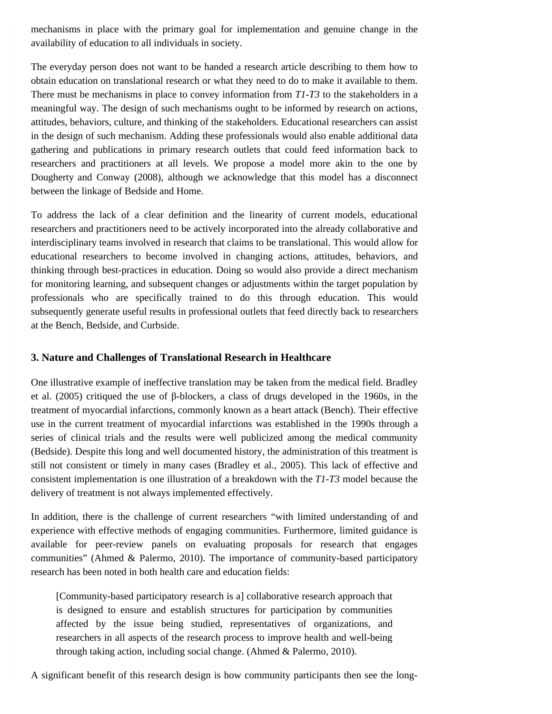mechanisms in place with the primary goal for implementation and genuine change in the availability of education to all individuals in society.

The everyday person does not want to be handed a research article describing to them how to obtain education on translational research or what they need to do to make it available to them. There must be mechanisms in place to convey information from *T1-T3* to the stakeholders in a meaningful way. The design of such mechanisms ought to be informed by research on actions, attitudes, behaviors, culture, and thinking of the stakeholders. Educational researchers can assist in the design of such mechanism. Adding these professionals would also enable additional data gathering and publications in primary research outlets that could feed information back to researchers and practitioners at all levels. We propose a model more akin to the one by Dougherty and Conway (2008), although we acknowledge that this model has a disconnect between the linkage of Bedside and Home.

To address the lack of a clear definition and the linearity of current models, educational researchers and practitioners need to be actively incorporated into the already collaborative and interdisciplinary teams involved in research that claims to be translational. This would allow for educational researchers to become involved in changing actions, attitudes, behaviors, and thinking through best-practices in education. Doing so would also provide a direct mechanism for monitoring learning, and subsequent changes or adjustments within the target population by professionals who are specifically trained to do this through education. This would subsequently generate useful results in professional outlets that feed directly back to researchers at the Bench, Bedside, and Curbside.

# **3. Nature and Challenges of Translational Research in Healthcare**

One illustrative example of ineffective translation may be taken from the medical field. Bradley et al. (2005) critiqued the use of β-blockers, a class of drugs developed in the 1960s, in the treatment of myocardial infarctions, commonly known as a heart attack (Bench). Their effective use in the current treatment of myocardial infarctions was established in the 1990s through a series of clinical trials and the results were well publicized among the medical community (Bedside). Despite this long and well documented history, the administration of this treatment is still not consistent or timely in many cases (Bradley et al., 2005). This lack of effective and consistent implementation is one illustration of a breakdown with the *T1-T3* model because the delivery of treatment is not always implemented effectively.

In addition, there is the challenge of current researchers "with limited understanding of and experience with effective methods of engaging communities. Furthermore, limited guidance is available for peer-review panels on evaluating proposals for research that engages communities" (Ahmed & Palermo, 2010). The importance of community-based participatory research has been noted in both health care and education fields:

[Community-based participatory research is a] collaborative research approach that is designed to ensure and establish structures for participation by communities affected by the issue being studied, representatives of organizations, and researchers in all aspects of the research process to improve health and well-being through taking action, including social change. (Ahmed & Palermo, 2010).

A significant benefit of this research design is how community participants then see the long-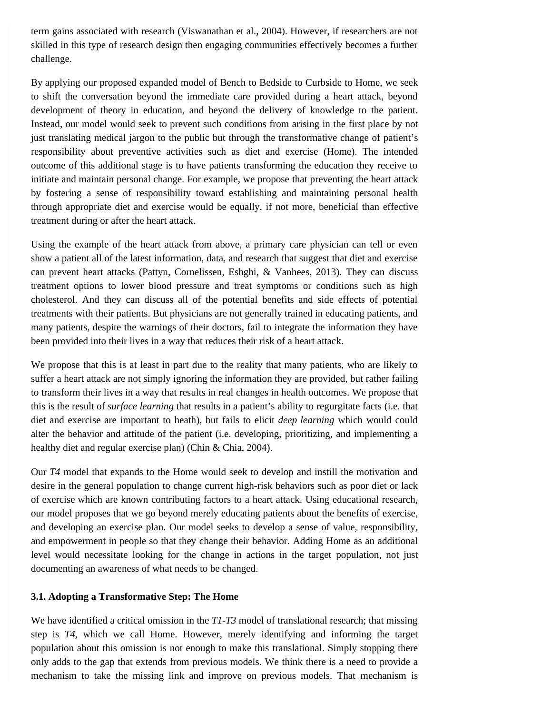term gains associated with research (Viswanathan et al., 2004). However, if researchers are not skilled in this type of research design then engaging communities effectively becomes a further challenge.

By applying our proposed expanded model of Bench to Bedside to Curbside to Home, we seek to shift the conversation beyond the immediate care provided during a heart attack, beyond development of theory in education, and beyond the delivery of knowledge to the patient. Instead, our model would seek to prevent such conditions from arising in the first place by not just translating medical jargon to the public but through the transformative change of patient's responsibility about preventive activities such as diet and exercise (Home). The intended outcome of this additional stage is to have patients transforming the education they receive to initiate and maintain personal change. For example, we propose that preventing the heart attack by fostering a sense of responsibility toward establishing and maintaining personal health through appropriate diet and exercise would be equally, if not more, beneficial than effective treatment during or after the heart attack.

Using the example of the heart attack from above, a primary care physician can tell or even show a patient all of the latest information, data, and research that suggest that diet and exercise can prevent heart attacks (Pattyn, Cornelissen, Eshghi, & Vanhees, 2013). They can discuss treatment options to lower blood pressure and treat symptoms or conditions such as high cholesterol. And they can discuss all of the potential benefits and side effects of potential treatments with their patients. But physicians are not generally trained in educating patients, and many patients, despite the warnings of their doctors, fail to integrate the information they have been provided into their lives in a way that reduces their risk of a heart attack.

We propose that this is at least in part due to the reality that many patients, who are likely to suffer a heart attack are not simply ignoring the information they are provided, but rather failing to transform their lives in a way that results in real changes in health outcomes. We propose that this is the result of *surface learning* that results in a patient's ability to regurgitate facts (i.e. that diet and exercise are important to heath), but fails to elicit *deep learning* which would could alter the behavior and attitude of the patient (i.e. developing, prioritizing, and implementing a healthy diet and regular exercise plan) (Chin & Chia, 2004).

Our *T4* model that expands to the Home would seek to develop and instill the motivation and desire in the general population to change current high-risk behaviors such as poor diet or lack of exercise which are known contributing factors to a heart attack. Using educational research, our model proposes that we go beyond merely educating patients about the benefits of exercise, and developing an exercise plan. Our model seeks to develop a sense of value, responsibility, and empowerment in people so that they change their behavior. Adding Home as an additional level would necessitate looking for the change in actions in the target population, not just documenting an awareness of what needs to be changed.

#### **3.1. Adopting a Transformative Step: The Home**

We have identified a critical omission in the *T1-T3* model of translational research; that missing step is *T4*, which we call Home. However, merely identifying and informing the target population about this omission is not enough to make this translational. Simply stopping there only adds to the gap that extends from previous models. We think there is a need to provide a mechanism to take the missing link and improve on previous models. That mechanism is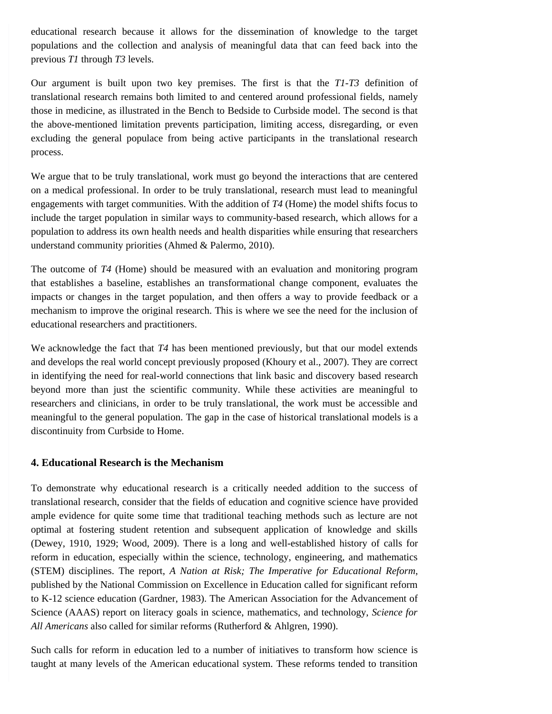educational research because it allows for the dissemination of knowledge to the target populations and the collection and analysis of meaningful data that can feed back into the previous *T1* through *T3* levels.

Our argument is built upon two key premises. The first is that the *T1-T3* definition of translational research remains both limited to and centered around professional fields, namely those in medicine, as illustrated in the Bench to Bedside to Curbside model. The second is that the above-mentioned limitation prevents participation, limiting access, disregarding, or even excluding the general populace from being active participants in the translational research process.

We argue that to be truly translational, work must go beyond the interactions that are centered on a medical professional. In order to be truly translational, research must lead to meaningful engagements with target communities. With the addition of *T4* (Home) the model shifts focus to include the target population in similar ways to community-based research, which allows for a population to address its own health needs and health disparities while ensuring that researchers understand community priorities (Ahmed & Palermo, 2010).

The outcome of *T4* (Home) should be measured with an evaluation and monitoring program that establishes a baseline, establishes an transformational change component, evaluates the impacts or changes in the target population, and then offers a way to provide feedback or a mechanism to improve the original research. This is where we see the need for the inclusion of educational researchers and practitioners.

We acknowledge the fact that *T4* has been mentioned previously, but that our model extends and develops the real world concept previously proposed (Khoury et al., 2007). They are correct in identifying the need for real-world connections that link basic and discovery based research beyond more than just the scientific community. While these activities are meaningful to researchers and clinicians, in order to be truly translational, the work must be accessible and meaningful to the general population. The gap in the case of historical translational models is a discontinuity from Curbside to Home.

# **4. Educational Research is the Mechanism**

To demonstrate why educational research is a critically needed addition to the success of translational research, consider that the fields of education and cognitive science have provided ample evidence for quite some time that traditional teaching methods such as lecture are not optimal at fostering student retention and subsequent application of knowledge and skills (Dewey, 1910, 1929; Wood, 2009). There is a long and well-established history of calls for reform in education, especially within the science, technology, engineering, and mathematics (STEM) disciplines. The report, *A Nation at Risk; The Imperative for Educational Reform*, published by the National Commission on Excellence in Education called for significant reform to K-12 science education (Gardner, 1983). The American Association for the Advancement of Science (AAAS) report on literacy goals in science, mathematics, and technology, *Science for All Americans* also called for similar reforms (Rutherford & Ahlgren, 1990).

Such calls for reform in education led to a number of initiatives to transform how science is taught at many levels of the American educational system. These reforms tended to transition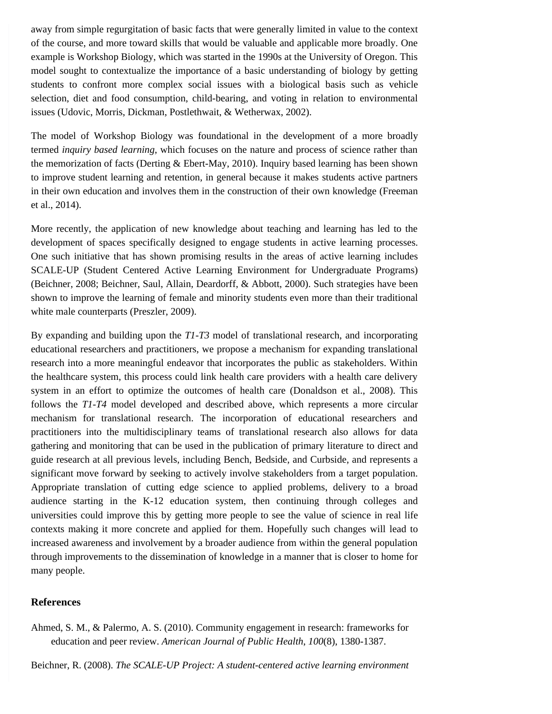away from simple regurgitation of basic facts that were generally limited in value to the context of the course, and more toward skills that would be valuable and applicable more broadly. One example is Workshop Biology, which was started in the 1990s at the University of Oregon. This model sought to contextualize the importance of a basic understanding of biology by getting students to confront more complex social issues with a biological basis such as vehicle selection, diet and food consumption, child-bearing, and voting in relation to environmental issues (Udovic, Morris, Dickman, Postlethwait, & Wetherwax, 2002).

The model of Workshop Biology was foundational in the development of a more broadly termed *inquiry based learning*, which focuses on the nature and process of science rather than the memorization of facts (Derting & Ebert-May, 2010). Inquiry based learning has been shown to improve student learning and retention, in general because it makes students active partners in their own education and involves them in the construction of their own knowledge (Freeman et al., 2014).

More recently, the application of new knowledge about teaching and learning has led to the development of spaces specifically designed to engage students in active learning processes. One such initiative that has shown promising results in the areas of active learning includes SCALE-UP (Student Centered Active Learning Environment for Undergraduate Programs) (Beichner, 2008; Beichner, Saul, Allain, Deardorff, & Abbott, 2000). Such strategies have been shown to improve the learning of female and minority students even more than their traditional white male counterparts (Preszler, 2009).

By expanding and building upon the *T1-T3* model of translational research, and incorporating educational researchers and practitioners, we propose a mechanism for expanding translational research into a more meaningful endeavor that incorporates the public as stakeholders. Within the healthcare system, this process could link health care providers with a health care delivery system in an effort to optimize the outcomes of health care (Donaldson et al., 2008). This follows the *T1-T4* model developed and described above, which represents a more circular mechanism for translational research. The incorporation of educational researchers and practitioners into the multidisciplinary teams of translational research also allows for data gathering and monitoring that can be used in the publication of primary literature to direct and guide research at all previous levels, including Bench, Bedside, and Curbside, and represents a significant move forward by seeking to actively involve stakeholders from a target population. Appropriate translation of cutting edge science to applied problems, delivery to a broad audience starting in the K-12 education system, then continuing through colleges and universities could improve this by getting more people to see the value of science in real life contexts making it more concrete and applied for them. Hopefully such changes will lead to increased awareness and involvement by a broader audience from within the general population through improvements to the dissemination of knowledge in a manner that is closer to home for many people.

## **References**

Ahmed, S. M., & Palermo, A. S. (2010). Community engagement in research: frameworks for education and peer review. *American Journal of Public Health*, *100*(8), 1380-1387.

Beichner, R. (2008). *The SCALE-UP Project: A student-centered active learning environment*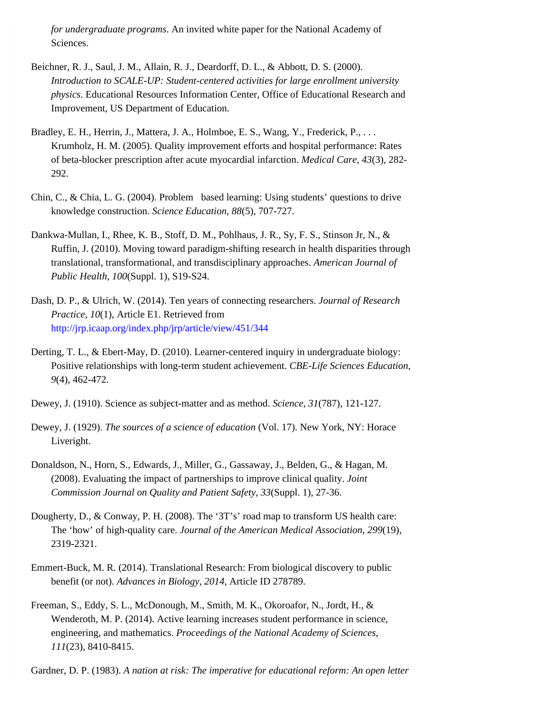*for undergraduate programs*. An invited white paper for the National Academy of Sciences.

- Beichner, R. J., Saul, J. M., Allain, R. J., Deardorff, D. L., & Abbott, D. S. (2000). *Introduction to SCALE-UP: Student-centered activities for large enrollment university physics*. Educational Resources Information Center, Office of Educational Research and Improvement, US Department of Education.
- Bradley, E. H., Herrin, J., Mattera, J. A., Holmboe, E. S., Wang, Y., Frederick, P., ... Krumholz, H. M. (2005). Quality improvement efforts and hospital performance: Rates of beta-blocker prescription after acute myocardial infarction. *Medical Care*, *43*(3), 282- 292.
- Chin, C., & Chia, L. G. (2004). Problem based learning: Using students' questions to drive knowledge construction. *Science Education*, *88*(5), 707-727.
- Dankwa-Mullan, I., Rhee, K. B., Stoff, D. M., Pohlhaus, J. R., Sy, F. S., Stinson Jr, N., & Ruffin, J. (2010). Moving toward paradigm-shifting research in health disparities through translational, transformational, and transdisciplinary approaches. *American Journal of Public Health*, *100*(Suppl. 1), S19-S24.
- Dash, D. P., & Ulrich, W. (2014). Ten years of connecting researchers. *Journal of Research Practice*, *10*(1), Article E1. Retrieved from <http://jrp.icaap.org/index.php/jrp/article/view/451/344>
- Derting, T. L., & Ebert-May, D. (2010). Learner-centered inquiry in undergraduate biology: Positive relationships with long-term student achievement. *CBE-Life Sciences Education*, *9*(4), 462-472.
- Dewey, J. (1910). Science as subject-matter and as method. *Science*, *31*(787), 121-127.
- Dewey, J. (1929). *The sources of a science of education* (Vol. 17). New York, NY: Horace Liveright.
- Donaldson, N., Horn, S., Edwards, J., Miller, G., Gassaway, J., Belden, G., & Hagan, M. (2008). Evaluating the impact of partnerships to improve clinical quality. *Joint Commission Journal on Quality and Patient Safety*, *33*(Suppl. 1), 27-36.
- Dougherty, D., & Conway, P. H. (2008). The '3T's' road map to transform US health care: The 'how' of high-quality care. *Journal of the American Medical Association*, *299*(19), 2319-2321.
- Emmert-Buck, M. R. (2014). Translational Research: From biological discovery to public benefit (or not). *Advances in Biology*, *2014*, Article ID 278789.
- Freeman, S., Eddy, S. L., McDonough, M., Smith, M. K., Okoroafor, N., Jordt, H., & Wenderoth, M. P. (2014). Active learning increases student performance in science, engineering, and mathematics. *Proceedings of the National Academy of Sciences*, *111*(23), 8410-8415.

Gardner, D. P. (1983). *A nation at risk: The imperative for educational reform: An open letter*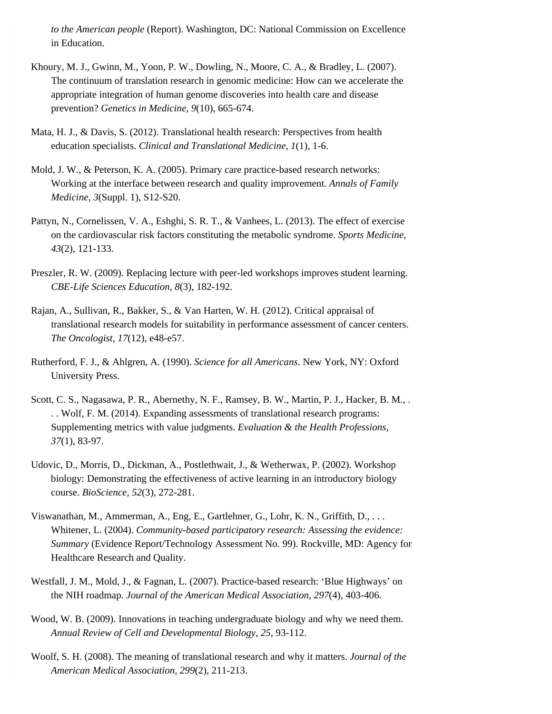*to the American people* (Report). Washington, DC: National Commission on Excellence in Education.

- Khoury, M. J., Gwinn, M., Yoon, P. W., Dowling, N., Moore, C. A., & Bradley, L. (2007). The continuum of translation research in genomic medicine: How can we accelerate the appropriate integration of human genome discoveries into health care and disease prevention? *Genetics in Medicine*, *9*(10), 665-674.
- Mata, H. J., & Davis, S. (2012). Translational health research: Perspectives from health education specialists. *Clinical and Translational Medicine*, *1*(1), 1-6.
- Mold, J. W., & Peterson, K. A. (2005). Primary care practice-based research networks: Working at the interface between research and quality improvement. *Annals of Family Medicine*, *3*(Suppl. 1), S12-S20.
- Pattyn, N., Cornelissen, V. A., Eshghi, S. R. T., & Vanhees, L. (2013). The effect of exercise on the cardiovascular risk factors constituting the metabolic syndrome. *Sports Medicine*, *43*(2), 121-133.
- Preszler, R. W. (2009). Replacing lecture with peer-led workshops improves student learning. *CBE-Life Sciences Education*, *8*(3), 182-192.
- Rajan, A., Sullivan, R., Bakker, S., & Van Harten, W. H. (2012). Critical appraisal of translational research models for suitability in performance assessment of cancer centers. *The Oncologist*, *17*(12), e48-e57.
- Rutherford, F. J., & Ahlgren, A. (1990). *Science for all Americans*. New York, NY: Oxford University Press.
- Scott, C. S., Nagasawa, P. R., Abernethy, N. F., Ramsey, B. W., Martin, P. J., Hacker, B. M., . . . Wolf, F. M. (2014). Expanding assessments of translational research programs: Supplementing metrics with value judgments. *Evaluation & the Health Professions*, *37*(1), 83-97.
- Udovic, D., Morris, D., Dickman, A., Postlethwait, J., & Wetherwax, P. (2002). Workshop biology: Demonstrating the effectiveness of active learning in an introductory biology course. *BioScience*, *52*(3), 272-281.
- Viswanathan, M., Ammerman, A., Eng, E., Gartlehner, G., Lohr, K. N., Griffith, D., . . . Whitener, L. (2004). *Community-based participatory research: Assessing the evidence: Summary* (Evidence Report/Technology Assessment No. 99). Rockville, MD: Agency for Healthcare Research and Quality.
- Westfall, J. M., Mold, J., & Fagnan, L. (2007). Practice-based research: 'Blue Highways' on the NIH roadmap. *Journal of the American Medical Association*, *297*(4), 403-406.
- Wood, W. B. (2009). Innovations in teaching undergraduate biology and why we need them. *Annual Review of Cell and Developmental Biology*, *25*, 93-112.
- Woolf, S. H. (2008). The meaning of translational research and why it matters. *Journal of the American Medical Association*, *299*(2), 211-213.